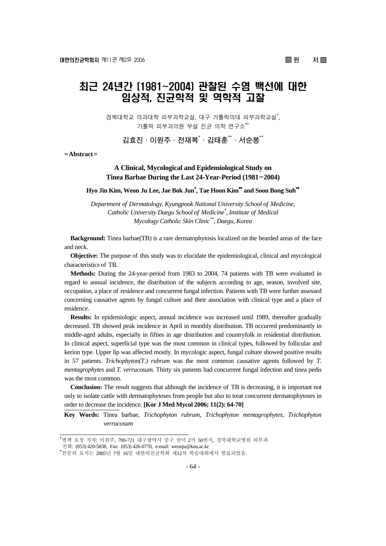■ 원 저■

# 최근 24년간 (1981~2004) 관찰된 수염 백선에 대한 임상적, 진균학적 및 역학적 고찰

경북대학교 의과대학 피부과학교실, 대구 가톨릭의대 피부과학교실\* , 가톨릭 피부과의원 부설 진균 의학 연구소\*\*

**김효진·이원주·전재복**\* **·김태훈**\*\***·서순봉**\*\*

**= Abstract =** 

# **A Clinical, Mycological and Epidemiological Study on Tinea Barbae During the Last 24-Year-Period (1981**~**2004)**

**Hyo Jin Kim, Weon Ju Lee, Jae Bok Jun**\* **, Tae Hoon Kim**\*\* **and Soon Bong Suh**\*\*

*Department of Dermatology, Kyungpook National University School of Medicine, Catholic University Daegu School of Medicine\* , Institute of Medical Mycology Catholic Skin Clinic\*\*, Daegu, Korea* 

**Background:** Tinea barbae(TB) is a rare dermatophytosis localized on the bearded areas of the face and neck.

**Objective:** The purpose of this study was to elucidate the epidemiological, clinical and mycological characteristics of TB.

**Methods:** During the 24-year-period from 1983 to 2004, 74 patients with TB were evaluated in regard to annual incidence, the distribution of the subjects according to age, season, involved site, occupation, a place of residence and concurrent fungal infection. Patients with TB were further assessed concerning causative agents by fungal culture and their association with clinical type and a place of residence.

**Results:** In epidemiologic aspect, annual incidence was increased until 1989, thereafter gradually decreased. TB showed peak incidence in April in monthly distribution. TB occurred predominantly in middle-aged adults, especially in fifties in age distribution and countryfolk in residential distribution. In clinical aspect, superficial type was the most common in clinical types, followed by follicular and kerion type. Upper lip was affected mostly. In mycologic aspect, fungal culture showed positive results in 57 patients. *Trichophyton(T.) rubrum* was the most common causative agents followed by *T. mentagrophytes* and *T. verrucosum*. Thirty six patients had concurrent fungal infection and tinea pedis was the most common.

**Conclusion:** The result suggests that although the incidence of TB is decreasing, it is important not only to isolate cattle with dermatophytoses from people but also to treat concurrent dermatophytoses in order to decrease the incidence. **[Kor J Med Mycol 2006; 11(2): 64-70]**

**Key Words:** Tinea barbae, *Trichophyton rubrum*, *Trichophyton mentagrophytes*, *Trichophyton verrucosum*

<sup>&</sup>lt;sup>†</sup>별책 요청 저자: 이원주, 700-721 대구광역시 중구 삼덕 2가 50번지, 경북대학교병원 피부과

전화: (053) 420-5838, Fax: (053) 426-0770, e-mail: weonju@knu.ac.kr \*

본문의 요지는 2005년 7월 16일 대한의진균학회 제12차 학술대회에서 발표되었음.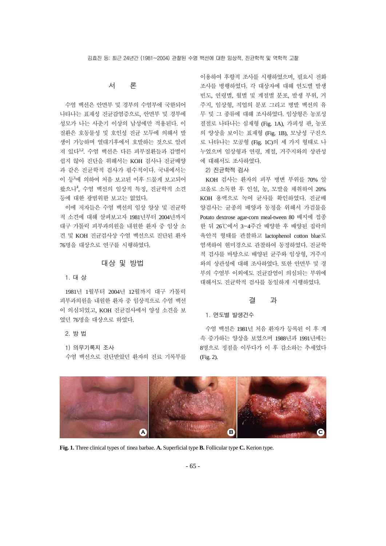#### 서 론

수염 백선은 안면부 및 경부의 수염부에 국한되어 나타나는 표재성 진균감염증으로, 안면부 및 경부에 성모가 나는 사춘기 이상의 남성에만 적용된다. 이 질환은 호동물성 및 호인성 진균 모두에 의해서 발 생이 가능하며 열대기후에서 호발하는 것으로 알려 져 있다12. 수염 백선은 다른 피부질환들과 감별이 쉽지 않아 진단을 위해서는 KOH 검사나 진균배양 과 같은 진균학적 검사가 필수적이다. 국내에서는 이 등3에 의하여 처음 보고된 이후 드물게 보고되어 왔으나<sup>4</sup> , 수염 백선의 임상적 특징, 진균학적 소견 등에 대한 광범위한 보고는 없었다.

이에 저자들은 수염 백선의 임상 양상 및 진균학 적 소견에 대해 살펴보고자 1981년부터 2004년까지 대구 가톨릭 피부과의원을 내원한 환자 중 임상 소 견 및 KOH 진균검사상 수염 백선으로 진단된 환자 76명을 대상으로 연구를 시행하였다.

## 대상 및 방법

#### 1. 대 상

1981년 1월부터 2004년 12월까지 대구 가톨릭 피부과의원을 내원한 환자 중 임상적으로 수염 백선 이 의심되었고, KOH 진균검사에서 양성 소견을 보 였던 76명을 대상으로 하였다.

2. 방 법

1) 의무기록지 조사 수염 백선으로 진단받았던 환자의 진료 기록부를 이용하여 후향적 조사를 시행하였으며, 필요시 전화 조사를 병행하였다. 각 대상자에 대해 연도별 발생 빈도, 연령별, 월별 및 계절별 분포, 발생 부위, 거 주지, 임상형, 직업의 분포 그리고 병발 백선의 유 무 및 그 종류에 대해 조사하였다. 임상형은 농포성 결절로 나타나는 심재형 (Fig. 1A), 가피성 판, 농포 의 양상을 보이는 표재형 (Fig. 1B), 모낭성 구진으 로 나타나는 모공형 (Fig. 1C)의 세 가지 형태로 나 누었으며 임상형과 연령, 계절, 거주지와의 상관성 에 대해서도 조사하였다.

2) 진균학적 검사

KOH 검사는 환자의 피부 병변 부위를 70% 알 코올로 소독한 후 인설, 농, 모발을 채취하여 20% KOH 용액으로 녹여 균사를 확인하였다. 진균배 양검사는 균종의 배양과 동정을 위해서 가검물을 Potato dextrose agar-corn meal-tween 80 배지에 접종 한 뒤 26℃에서 3~4주간 배양한 후 배양된 집락의 육안적 형태를 관찰하고 lactophenol cotton blue로 염색하여 현미경으로 관찰하여 동정하였다. 진균학 적 검사를 바탕으로 배양된 균주와 임상형, 거주지 와의 상관성에 대해 조사하였다. 또한 안면부 및 경 부의 수염부 이외에도 진균감염이 의심되는 부위에 대해서도 진균학적 검사를 동일하게 시행하였다.

#### 결 과

#### 1. 연도별 발생건수

수염 백선은 1981년 처음 환자가 등록된 이 후 계 속 증가하는 양상을 보였으며 1988년과 1991년에는 8명으로 정점을 이루다가 이 후 감소하는 추세였다 (Fig. 2).



**Fig. 1.** Three clinical types of tinea barbae. **A.** Superficial type **B.** Follicular type **C.** Kerion type.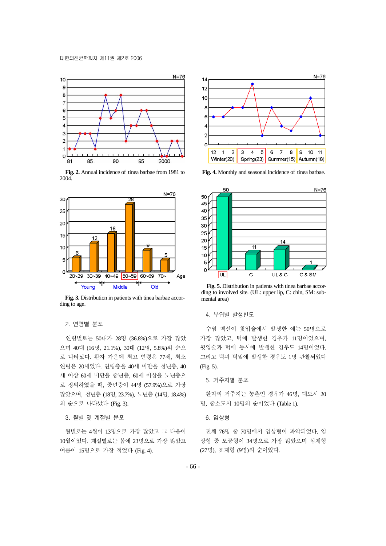

**Fig. 2.** Annual incidence of tinea barbae from 1981 to 2004.



**Fig. 3.** Distribution in patients with tinea barbae according to age.

#### 2. 연령별 분포

연령별로는 50대가 28명 (36.8%)으로 가장 많았 으며 40대 (16명, 21.1%), 30대 (12명, 5.8%)의 순으 로 나타났다. 환자 가운데 최고 연령은 77세, 최소 연령은 20세였다. 연령층을 40세 미만을 청년층, 40 세 이상 60세 미만을 중년층, 60세 이상을 노년층으 로 정의하였을 때, 중년층이 44명 (57.9%)으로 가장 많았으며, 청년층 (18명, 23.7%), 노년층 (14명, 18.4%) 의 순으로 나타났다 (Fig. 3).

#### 3. 월별 및 계절별 분포

월별로는 4월이 13명으로 가장 많았고 그 다음이 10월이었다. 계절별로는 봄에 23명으로 가장 많았고 여름이 15명으로 가장 적었다 (Fig. 4).



**Fig. 4.** Monthly and seasonal incidence of tinea barbae.



**Fig. 5.** Distribution in patients with tinea barbae according to involved site. (UL: upper lip, C: chin, SM: submental area)

#### 4. 부위별 발생빈도

수염 백선이 윗입술에서 발생한 예는 50명으로 가장 많았고, 턱에 발생한 경우가 11명이었으며, 윗입술과 턱에 동시에 발생한 경우도 14명이었다. 그리고 턱과 턱밑에 발생한 경우도 1명 관찰되었다 (Fig. 5).

#### 5. 거주지별 분포

환자의 거주지는 농촌인 경우가 46명, 대도시 20 명, 중소도시 10명의 순이었다 (Table 1).

#### 6. 임상형

전체 76명 중 70명에서 임상형이 파악되었다. 임 상형 중 모공형이 34명으로 가장 많았으며 심재형 (27명), 표재형 (9명)의 순이었다.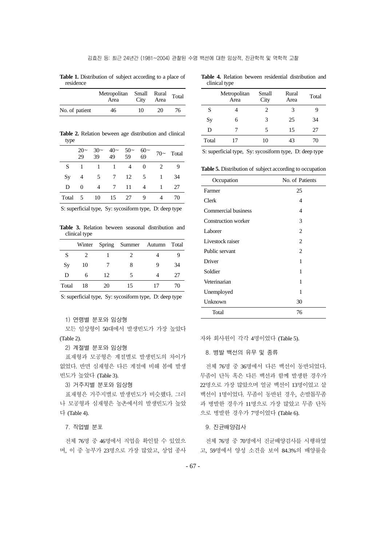**Table 1.** Distribution of subject according to a place of residence

| Metropolitan Small Rural Total<br>Area |    | City | Area |    |
|----------------------------------------|----|------|------|----|
| No. of patient                         | 46 | 10   | 20   | 76 |

**Table 2.** Relation beween age distribution and clinical type

|    |                |                  |        | $20 \sim 30 \sim 40 \sim 50 \sim 60 \sim 70 \sim$ Total<br>29 39 49 59 69 70 Total |        |    |
|----|----------------|------------------|--------|------------------------------------------------------------------------------------|--------|----|
| S. |                |                  |        | 1 1 1 4 0 2                                                                        |        |    |
| Sy | $\overline{4}$ |                  |        | 5 7 12 5 1                                                                         |        | 34 |
| D  | $\Omega$       |                  | 4 7 11 |                                                                                    | 4 1 27 |    |
|    |                | Total 5 10 15 27 |        | 9                                                                                  |        | 70 |

S: superficial type, Sy: sycosiform type, D: deep type

**Table 3.** Relation beween seasonal distribution and clinical type

|       |    |    | Winter Spring Summer Autumn Total |   |    |
|-------|----|----|-----------------------------------|---|----|
| S     |    |    |                                   |   |    |
| Sy    | 10 |    | 8                                 | 9 | 34 |
| D     | 6  | 12 | 5                                 |   | 27 |
| Total | 18 | 20 | 15                                |   | 70 |

S: superficial type, Sy: sycosiform type, D: deep type

1) 연령별 분포와 임상형

모든 임상형이 50대에서 발생빈도가 가장 높았다 (Table 2).

2) 계절별 분포와 임상형

표재형과 모공형은 계절별로 발생빈도의 차이가 없었다. 반면 심재형은 다른 계절에 비해 봄에 발생 빈도가 높았다 (Table 3).

3) 거주지별 분포와 임상형

표재형은 거주지별로 발생빈도가 비슷했다. 그러 나 모공형과 심재형은 농촌에서의 발생빈도가 높았 다 (Table 4).

7. 직업별 분포

전체 76명 중 46명에서 직업을 확인할 수 있었으 며, 이 중 농부가 23명으로 가장 많았고, 상업 종사

|               |  | <b>Table 4.</b> Relation beween residential distribution and |  |
|---------------|--|--------------------------------------------------------------|--|
| clinical type |  |                                                              |  |

|       | Metropolitan<br>Area | Small<br>City  | Rural<br>Area | Total |
|-------|----------------------|----------------|---------------|-------|
| S     |                      | $\mathfrak{D}$ | 3             |       |
| Sy    | 6                    | 3              | 25            | 34    |
| D     |                      | 5              | 15            | 27    |
| Total | 17                   | 10             | 43            | 70    |

S: superficial type, Sy: sycosiform type, D: deep type

**Table 5.** Distribution of subject according to occupation

| Occupation                 | No. of Patients |
|----------------------------|-----------------|
| Farmer                     | 25              |
| Clerk                      | 4               |
| Commercial business        | 4               |
| <b>Construction worker</b> | 3               |
| Laborer                    | 2               |
| Livestock raiser           | 2               |
| Public servant             | 2               |
| Driver                     | 1               |
| Soldier                    | 1               |
| Veterinarian               | 1               |
| Unemployed                 | 1               |
| Unknown                    | 30              |
| Total                      | 76              |

자와 회사원이 각각 4명이었다 (Table 5).

8. 병발 백선의 유무 및 종류

전체 76명 중 36명에서 다른 백선이 동반되었다. 무좀이 단독 혹은 다른 백선과 함께 발생한 경우가 22명으로 가장 많았으며 얼굴 백선이 13명이었고 샅 백선이 1명이었다. 무좀이 동반된 경우, 손발톱무좀 과 병발한 경우가 11명으로 가장 많았고 무좀 단독 으로 병발한 경우가 7명이었다 (Table 6).

9. 진균배양검사

전체 76명 중 70명에서 진균배양검사를 시행하였 고, 59명에서 양성 소견을 보여 84.3%의 배양률을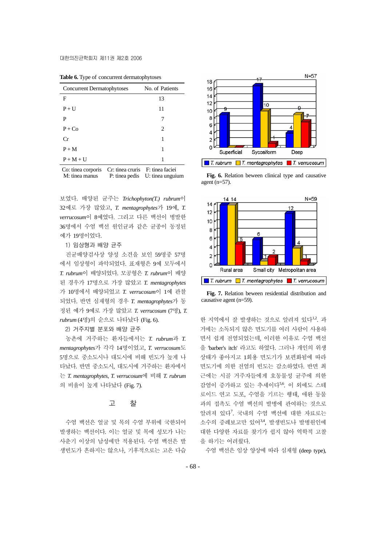| <b>Concurrent Dermatophytoses</b> | No. of Patients                |
|-----------------------------------|--------------------------------|
| F                                 | 13                             |
| $P + U$                           | 11                             |
| P                                 | 7                              |
| $P + Co$                          | 2                              |
| Cr                                | 1                              |
| $P+M$                             | 1                              |
| $P + M + U$                       | 1                              |
| .<br>- -                          | $\sim$ $\sim$<br>$\sim$ $\sim$ |

**Table 6.** Type of concurrent dermatophytoses

Co: tinea corporis Cr: tinea cruris F: tinea faciei

보였다. 배양된 균주는 *Trichophyton(T.) rubrum*이 32예로 가장 많았고, *T. mentagrophytes*가 19예, *T. verrucosum*이 8예였다. 그리고 다른 백선이 병발한 36명에서 수염 백선 원인균과 같은 균종이 동정된 예가 19명이었다.

1) 임상형과 배양 균주

진균배양검사상 양성 소견을 보인 59명중 57명 에서 임상형이 파악되었다. 표재형은 9예 모두에서 *T. rubrum*이 배양되었다. 모공형은 *T. rubrum*이 배양 된 경우가 17명으로 가장 많았고 *T. mentagrophytes* 가 10명에서 배양되었고 *T. verrucosum*이 1예 관찰 되었다. 반면 심재형의 경우 *T. mentagrophytes*가 동 정된 예가 9예로 가장 많았고 *T. verrucosum* (7명), *T. rubrum* (4명)의 순으로 나타났다 (Fig. 6).

2) 거주지별 분포와 배양 균주

농촌에 거주하는 환자들에서는 *T. rubrum*과 *T. mentagrophytes*가 각각 14명이었고, *T. verrucosum*도 5명으로 중소도시나 대도시에 비해 빈도가 높게 나 타났다. 반면 중소도시, 대도시에 거주하는 환자에서 는 *T. mentagrophytes*, *T. verrucosum*에 비해 *T. rubrum* 의 비율이 높게 나타났다 (Fig. 7).

#### 고 찰

수염 백선은 얼굴 및 목의 수염 부위에 국한되어 발생하는 백선이다. 이는 얼굴 및 목에 성모가 나는 사춘기 이상의 남성에만 적용된다. 수염 백선은 발 생빈도가 흔하지는 않으나, 기후적으로는 고온 다습



M: tinea manus P: tinea pedis U: tinea unguium **Fig. 6.** Relation beween clinical type and causative agent (n=57).



**Fig. 7.** Relation beween residential distribution and causative agent (n=59).

한 지역에서 잘 발생하는 것으로 알려져 있다<sup>1,2</sup>. 과 거에는 소독되지 않은 면도기를 여러 사람이 사용하 면서 쉽게 전염되었는데, 이러한 이유로 수염 백선 을 'barber's itch' 라고도 하였다. 그러나 개인의 위생 상태가 좋아지고 1회용 면도기가 보편화됨에 따라 면도기에 의한 전염의 빈도는 감소하였다. 반면 최 근에는 시골 거주자들에게 호동물성 균주에 의한 감염이 증가하고 있는 추세이다5,6. 이 외에도 스테 로이드 연고 도포, 수염을 기르는 행태, 애완 동물 과의 접촉도 수염 백선의 발병에 관여하는 것으로 알려져 있다<sup>7</sup> . 국내의 수염 백선에 대한 자료로는 소수의 증례보고만 있어3,4, 발생빈도나 발병원인에 대한 다양한 자료를 찾기가 쉽지 않아 역학적 고찰 을 하기는 어려웠다.

수염 백선은 임상 양상에 따라 심재형 (deep type),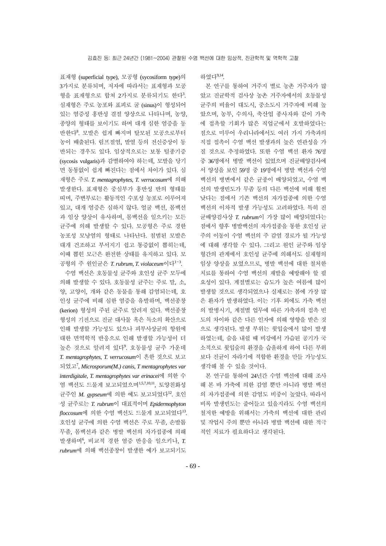표재형 (superficial type), 모공형 (sycosiform type)의 3가지로 분류되며, 저자에 따라서는 표재형과 모공 형을 표재형으로 합쳐 2가지로 분류되기도 한다3. 심재형은 주로 농포와 표피로 굴 (sinus)이 형성되어 있는 염증성 홍반성 결절 양상으로 나타나며, 농양, 종양의 형태를 보이기도 하며 대개 심한 염증을 동 반한다<sup>8</sup> . 모발은 쉽게 빠지며 탈모된 모공으로부터 농이 배출된다. 림프절염, 발열 등의 전신증상이 동 반되는 경우도 있다. 임상적으로는 보통 털종기증 (sycosis vulgaris)과 감별하여야 하는데, 모발을 당기 면 동통없이 쉽게 빠진다는 점에서 차이가 있다. 심 재형은 주로 *T. mentagrophytes*, *T. verrucosum*에 의해 발생한다. 표재형은 중심부가 홍반성 반의 형태를 띠며, 주변부로는 활동적인 수포성 농포로 이루어져 있고, 대개 염증은 심하지 않다. 얼굴 백선, 몸백선 과 임상 양상이 유사하며, 몸백선을 일으키는 모든 균주에 의해 발생할 수 있다. 모공형은 주로 경한 농포성 모낭염의 형태로 나타난다. 침범된 모발은 대개 건조하고 부서지기 쉽고 통증없이 뽑히는데, 이때 뽑힌 모근은 완전한 상태를 유지하고 있다. 모 공형의 주 원인균은 T. rubrum, T. violaceum이다<sup>1~3</sup>.

수염 백선은 호동물성 균주와 호인성 균주 모두에 의해 발생할 수 있다. 호동물성 균주는 주로 말, 소, 양, 고양이, 개와 같은 동물을 통해 감염되는데, 호 인성 균주에 비해 심한 염증을 유발하며, 백선종창 (kerion) 형성의 주된 균주로 알려져 있다. 백선종창 형성의 기전으로 진균 대사물 혹은 독소의 확산으로 인해 발생할 가능성도 있으나 피부사상균의 항원에 대한 면역학적 반응으로 인해 발생할 가능성이 더 높은 것으로 알려져 있다<sup>9</sup>. 호동물성 균주 가운데 *T. mentagrophytes*, *T. verrucosum*이 흔한 것으로 보고 되었고<sup>7</sup> , *Microsporum(M.) canis*, *T mentagrophytes var interdigitale*, *T. mentagrophytes var erinacei*에 의한 수 염 백선도 드물게 보고되었으며1,5,7,10,11, 토양친화성 균주인 *M. gypseum*에 의한 예도 보고되었다12. 호인 성 균주로는 *T. rubrum*이 대표적이며 *Epidermophyton*  floccosum에 의한 수염 백선도 드물게 보고되었다<sup>13</sup>. 호인성 균주에 의한 수염 백선은 주로 무좀, 손발톱 무좀, 몸백선과 같은 병발 백선의 자가접종에 의해 발생하며<sup>6</sup> , 비교적 경한 염증 반응을 일으키나, *T. rubrum*에 의해 백선종창이 발생한 예가 보고되기도 하였다<sup>9,14</sup>

본 연구를 통하여 거주지 별로 농촌 거주자가 많 았고 진균학적 검사상 농촌 거주자에서의 호동물성 균주의 비율이 대도시, 중소도시 거주자에 비해 높 았으며, 농부, 수의사, 축산업 종사자와 같이 가축 에 접촉할 기회가 많은 직업군에서 호발하였다는 점으로 미루어 우리나라에서도 여러 가지 가축과의 직접 접촉이 수염 백선 발생과의 높은 연관성을 가 질 것으로 추정하였다. 또한 수염 백선 환자 76명 중 36명에서 병발 백선이 있었으며 진균배양검사에 서 양성을 보인 59명 중 19명에서 병발 백선과 수염 백선의 병변에서 같은 균종이 배양되었고, 수염 백 선의 발생빈도가 무좀 등의 다른 백선에 비해 훨씬 낮다는 점에서 기존 백선의 자가접종에 의한 수염 백선의 이차적 발생 가능성도 고려하였다. 특히 진 균배양검사상 *T. rubrum*이 가장 많이 배양되었다는 점에서 향후 병발백선의 자가접종을 통한 호인성 균 주의 이동이 수염 백선의 주 감염 경로가 될 가능성 에 대해 생각할 수 있다. 그리고 원인 균주와 임상 형간의 관계에서 호인성 균주에 의해서도 심재형의 임상 양상을 보였으므로, 병발 백선에 대한 철처한 치료를 통하여 수염 백선의 재발을 예방해야 할 필 요성이 있다. 계절별로는 습도가 높은 여름에 많이 발생할 것으로 생각되었으나 실제로는 봄에 가장 많 은 환자가 발생하였다. 이는 기후 외에도 가축 백선 의 발병시기, 계절별 업무에 따른 가축과의 접촉 빈 도의 차이와 같은 다른 인자에 의해 영향을 받은 것 으로 생각된다. 발생 부위는 윗입술에서 많이 발생 하였는데, 숨을 내쉴 때 비강에서 가습된 공기가 국 소적으로 윗입술의 환경을 습윤하게 하여 다른 부위 보다 진균이 자라기에 적합한 환경을 만들 가능성도 생각해 볼 수 있을 것이다.

본 연구를 통하여 24년간 수염 백선에 대해 조사 해 본 바 가축에 의한 감염 뿐만 아니라 병발 백선 의 자가접종에 의한 감염도 비중이 높았다. 따라서 비록 발생빈도는 줄어들고 있을지라도 수염 백선의 철저한 예방을 위해서는 가축의 백선에 대한 관리 및 작업시 주의 뿐만 아니라 병발 백선에 대한 적극 적인 치료가 필요하다고 생각된다.